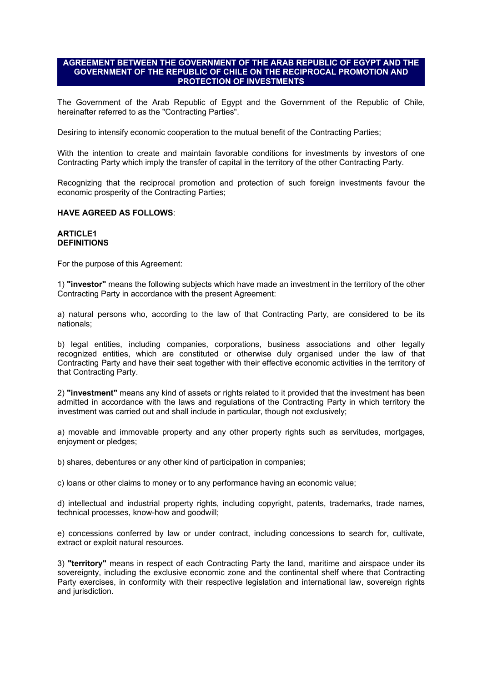### **AGREEMENT BETWEEN THE GOVERNMENT OF THE ARAB REPUBLIC OF EGYPT AND THE GOVERNMENT OF THE REPUBLIC OF CHILE ON THE RECIPROCAL PROMOTION AND PROTECTION OF INVESTMENTS**

The Government of the Arab Republic of Egypt and the Government of the Republic of Chile, hereinafter referred to as the "Contracting Parties".

Desiring to intensify economic cooperation to the mutual benefit of the Contracting Parties;

With the intention to create and maintain favorable conditions for investments by investors of one Contracting Party which imply the transfer of capital in the territory of the other Contracting Party.

Recognizing that the reciprocal promotion and protection of such foreign investments favour the economic prosperity of the Contracting Parties;

#### **HAVE AGREED AS FOLLOWS**:

#### **ARTICLE1 DEFINITIONS**

For the purpose of this Agreement:

1) **"investor"** means the following subjects which have made an investment in the territory of the other Contracting Party in accordance with the present Agreement:

a) natural persons who, according to the law of that Contracting Party, are considered to be its nationals;

b) legal entities, including companies, corporations, business associations and other legally recognized entities, which are constituted or otherwise duly organised under the law of that Contracting Party and have their seat together with their effective economic activities in the territory of that Contracting Party.

2) **"investment"** means any kind of assets or rights related to it provided that the investment has been admitted in accordance with the laws and regulations of the Contracting Party in which territory the investment was carried out and shall include in particular, though not exclusively;

a) movable and immovable property and any other property rights such as servitudes, mortgages, enjoyment or pledges;

b) shares, debentures or any other kind of participation in companies;

c) loans or other claims to money or to any performance having an economic value;

d) intellectual and industrial property rights, including copyright, patents, trademarks, trade names, technical processes, know-how and goodwill;

e) concessions conferred by law or under contract, including concessions to search for, cultivate, extract or exploit natural resources.

3) **"territory"** means in respect of each Contracting Party the land, maritime and airspace under its sovereignty, including the exclusive economic zone and the continental shelf where that Contracting Party exercises, in conformity with their respective legislation and international law, sovereign rights and jurisdiction.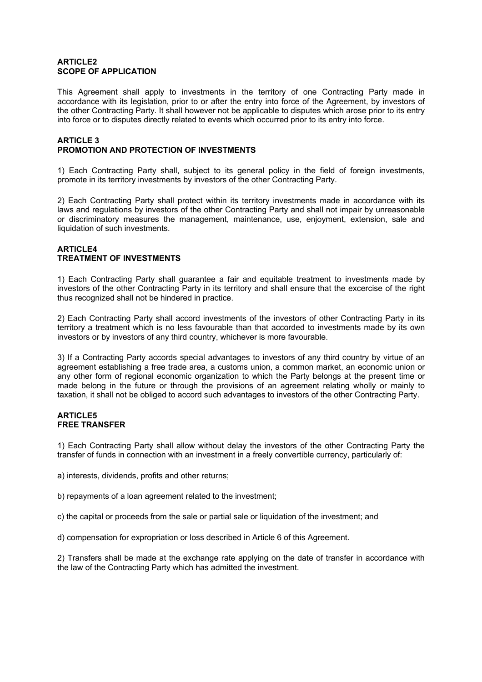### **ARTICLE2 SCOPE OF APPLICATION**

This Agreement shall apply to investments in the territory of one Contracting Party made in accordance with its legislation, prior to or after the entry into force of the Agreement, by investors of the other Contracting Party. It shall however not be applicable to disputes which arose prior to its entry into force or to disputes directly related to events which occurred prior to its entry into force.

### **ARTICLE 3 PROMOTION AND PROTECTION OF INVESTMENTS**

1) Each Contracting Party shall, subject to its general policy in the field of foreign investments, promote in its territory investments by investors of the other Contracting Party.

2) Each Contracting Party shall protect within its territory investments made in accordance with its laws and regulations by investors of the other Contracting Party and shall not impair by unreasonable or discriminatory measures the management, maintenance, use, enjoyment, extension, sale and liquidation of such investments.

## **ARTICLE4 TREATMENT OF INVESTMENTS**

1) Each Contracting Party shall guarantee a fair and equitable treatment to investments made by investors of the other Contracting Party in its territory and shall ensure that the excercise of the right thus recognized shall not be hindered in practice.

2) Each Contracting Party shall accord investments of the investors of other Contracting Party in its territory a treatment which is no less favourable than that accorded to investments made by its own investors or by investors of any third country, whichever is more favourable.

3) If a Contracting Party accords special advantages to investors of any third country by virtue of an agreement establishing a free trade area, a customs union, a common market, an economic union or any other form of regional economic organization to which the Party belongs at the present time or made belong in the future or through the provisions of an agreement relating wholly or mainly to taxation, it shall not be obliged to accord such advantages to investors of the other Contracting Party.

### **ARTICLE5 FREE TRANSFER**

1) Each Contracting Party shall allow without delay the investors of the other Contracting Party the transfer of funds in connection with an investment in a freely convertible currency, particularly of:

a) interests, dividends, profits and other returns;

b) repayments of a loan agreement related to the investment;

c) the capital or proceeds from the sale or partial sale or liquidation of the investment; and

d) compensation for expropriation or loss described in Article 6 of this Agreement.

2) Transfers shall be made at the exchange rate applying on the date of transfer in accordance with the law of the Contracting Party which has admitted the investment.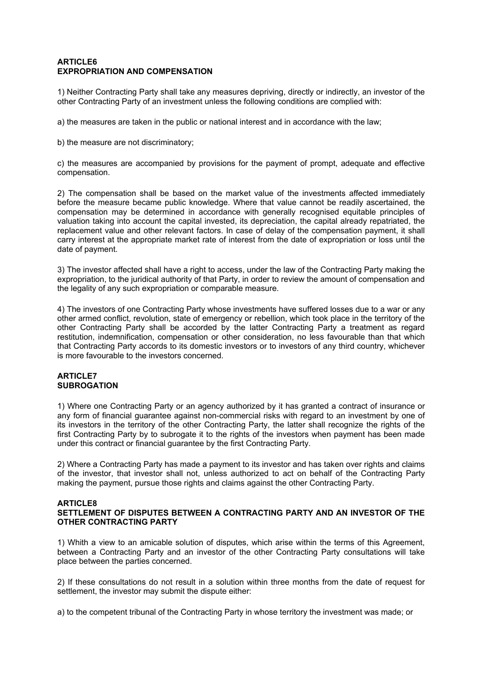### **ARTICLE6 EXPROPRIATION AND COMPENSATION**

1) Neither Contracting Party shall take any measures depriving, directly or indirectly, an investor of the other Contracting Party of an investment unless the following conditions are complied with:

a) the measures are taken in the public or national interest and in accordance with the law;

b) the measure are not discriminatory;

c) the measures are accompanied by provisions for the payment of prompt, adequate and effective compensation.

2) The compensation shall be based on the market value of the investments affected immediately before the measure became public knowledge. Where that value cannot be readily ascertained, the compensation may be determined in accordance with generally recognised equitable principles of valuation taking into account the capital invested, its depreciation, the capital already repatriated, the replacement value and other relevant factors. In case of delay of the compensation payment, it shall carry interest at the appropriate market rate of interest from the date of expropriation or loss until the date of payment.

3) The investor affected shall have a right to access, under the law of the Contracting Party making the expropriation, to the juridical authority of that Party, in order to review the amount of compensation and the legality of any such expropriation or comparable measure.

4) The investors of one Contracting Party whose investments have suffered losses due to a war or any other armed conflict, revolution, state of emergency or rebellion, which took place in the territory of the other Contracting Party shall be accorded by the latter Contracting Party a treatment as regard restitution, indemnification, compensation or other consideration, no less favourable than that which that Contracting Party accords to its domestic investors or to investors of any third country, whichever is more favourable to the investors concerned.

## **ARTICLET SUBROGATION**

1) Where one Contracting Party or an agency authorized by it has granted a contract of insurance or any form of financial guarantee against non-commercial risks with regard to an investment by one of its investors in the territory of the other Contracting Party, the latter shall recognize the rights of the first Contracting Party by to subrogate it to the rights of the investors when payment has been made under this contract or financial guarantee by the first Contracting Party.

2) Where a Contracting Party has made a payment to its investor and has taken over rights and claims of the investor, that investor shall not, unless authorized to act on behalf of the Contracting Party making the payment, pursue those rights and claims against the other Contracting Party.

### **ARTICLE8**

### **SETTLEMENT OF DISPUTES BETWEEN A CONTRACTING PARTY AND AN INVESTOR OF THE OTHER CONTRACTING PARTY**

1) Whith a view to an amicable solution of disputes, which arise within the terms of this Agreement, between a Contracting Party and an investor of the other Contracting Party consultations will take place between the parties concerned.

2) If these consultations do not result in a solution within three months from the date of request for settlement, the investor may submit the dispute either:

a) to the competent tribunal of the Contracting Party in whose territory the investment was made; or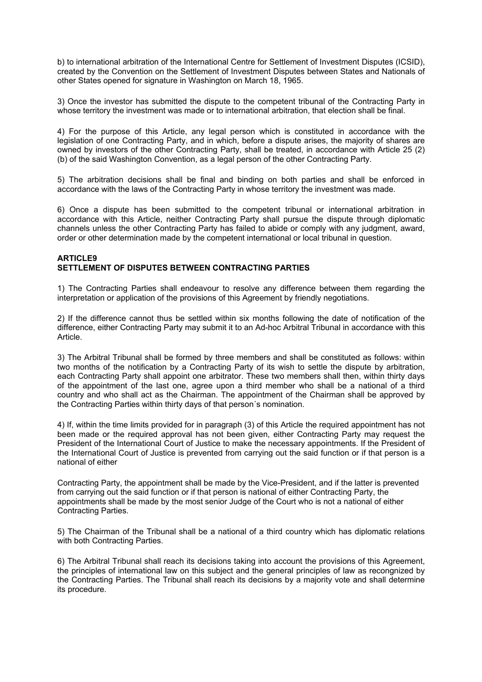b) to international arbitration of the International Centre for Settlement of Investment Disputes (ICSID), created by the Convention on the Settlement of Investment Disputes between States and Nationals of other States opened for signature in Washington on March 18, 1965.

3) Once the investor has submitted the dispute to the competent tribunal of the Contracting Party in whose territory the investment was made or to international arbitration, that election shall be final.

4) For the purpose of this Article, any legal person which is constituted in accordance with the legislation of one Contracting Party, and in which, before a dispute arises, the majority of shares are owned by investors of the other Contracting Party, shall be treated, in accordance with Article 25 (2) (b) of the said Washington Convention, as a legal person of the other Contracting Party.

5) The arbitration decisions shall be final and binding on both parties and shall be enforced in accordance with the laws of the Contracting Party in whose territory the investment was made.

6) Once a dispute has been submitted to the competent tribunal or international arbitration in accordance with this Article, neither Contracting Party shall pursue the dispute through diplomatic channels unless the other Contracting Party has failed to abide or comply with any judgment, award, order or other determination made by the competent international or local tribunal in question.

### **ARTICLE9 SETTLEMENT OF DISPUTES BETWEEN CONTRACTING PARTIES**

1) The Contracting Parties shall endeavour to resolve any difference between them regarding the interpretation or application of the provisions of this Agreement by friendly negotiations.

2) If the difference cannot thus be settled within six months following the date of notification of the difference, either Contracting Party may submit it to an Ad-hoc Arbitral Tribunal in accordance with this Article.

3) The Arbitral Tribunal shall be formed by three members and shall be constituted as follows: within two months of the notification by a Contracting Party of its wish to settle the dispute by arbitration, each Contracting Party shall appoint one arbitrator. These two members shall then, within thirty days of the appointment of the last one, agree upon a third member who shall be a national of a third country and who shall act as the Chairman. The appointment of the Chairman shall be approved by the Contracting Parties within thirty days of that person´s nomination.

4) If, within the time limits provided for in paragraph (3) of this Article the required appointment has not been made or the required approval has not been given, either Contracting Party may request the President of the International Court of Justice to make the necessary appointments. If the President of the International Court of Justice is prevented from carrying out the said function or if that person is a national of either

Contracting Party, the appointment shall be made by the Vice-President, and if the latter is prevented from carrying out the said function or if that person is national of either Contracting Party, the appointments shall be made by the most senior Judge of the Court who is not a national of either Contracting Parties.

5) The Chairman of the Tribunal shall be a national of a third country which has diplomatic relations with both Contracting Parties.

6) The Arbitral Tribunal shall reach its decisions taking into account the provisions of this Agreement, the principles of international law on this subject and the general principles of law as recongnized by the Contracting Parties. The Tribunal shall reach its decisions by a majority vote and shall determine its procedure.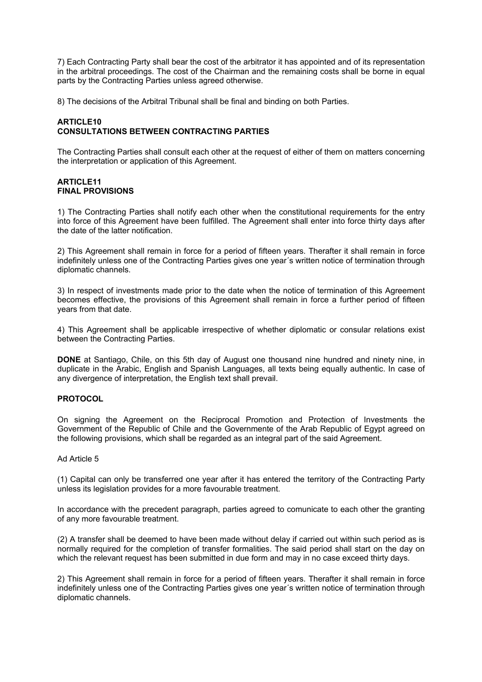7) Each Contracting Party shall bear the cost of the arbitrator it has appointed and of its representation in the arbitral proceedings. The cost of the Chairman and the remaining costs shall be borne in equal parts by the Contracting Parties unless agreed otherwise.

8) The decisions of the Arbitral Tribunal shall be final and binding on both Parties.

# **ARTICLE10 CONSULTATIONS BETWEEN CONTRACTING PARTIES**

The Contracting Parties shall consult each other at the request of either of them on matters concerning the interpretation or application of this Agreement.

### **ARTICLE11 FINAL PROVISIONS**

1) The Contracting Parties shall notify each other when the constitutional requirements for the entry into force of this Agreement have been fulfilled. The Agreement shall enter into force thirty days after the date of the latter notification.

2) This Agreement shall remain in force for a period of fifteen years. Therafter it shall remain in force indefinitely unless one of the Contracting Parties gives one year´s written notice of termination through diplomatic channels.

3) In respect of investments made prior to the date when the notice of termination of this Agreement becomes effective, the provisions of this Agreement shall remain in force a further period of fifteen years from that date.

4) This Agreement shall be applicable irrespective of whether diplomatic or consular relations exist between the Contracting Parties.

**DONE** at Santiago, Chile, on this 5th day of August one thousand nine hundred and ninety nine, in duplicate in the Arabic, English and Spanish Languages, all texts being equally authentic. In case of any divergence of interpretation, the English text shall prevail.

# **PROTOCOL**

On signing the Agreement on the Reciprocal Promotion and Protection of Investments the Government of the Republic of Chile and the Governmente of the Arab Republic of Egypt agreed on the following provisions, which shall be regarded as an integral part of the said Agreement.

### Ad Article 5

(1) Capital can only be transferred one year after it has entered the territory of the Contracting Party unless its legislation provides for a more favourable treatment.

In accordance with the precedent paragraph, parties agreed to comunicate to each other the granting of any more favourable treatment.

(2) A transfer shall be deemed to have been made without delay if carried out within such period as is normally required for the completion of transfer formalities. The said period shall start on the day on which the relevant request has been submitted in due form and may in no case exceed thirty days.

2) This Agreement shall remain in force for a period of fifteen years. Therafter it shall remain in force indefinitely unless one of the Contracting Parties gives one year´s written notice of termination through diplomatic channels.